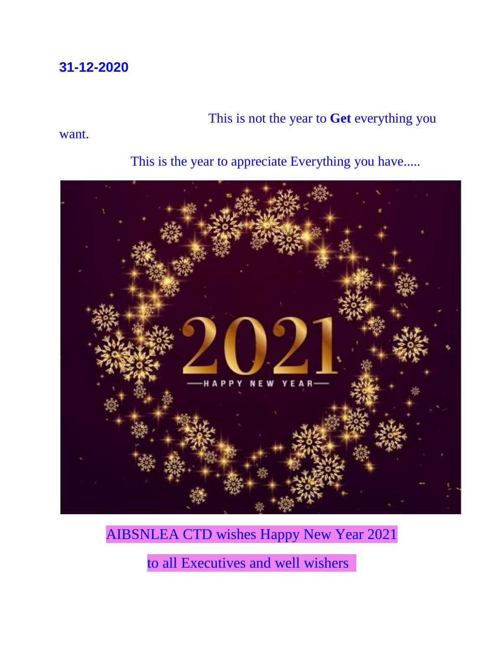#### **31-12-2020**

### This is not the year to **Get** everything you

#### want.



This is the year to appreciate Everything you have.....

## AIBSNLEA CTD wishes Happy New Year 2021

to all Executives and well wishers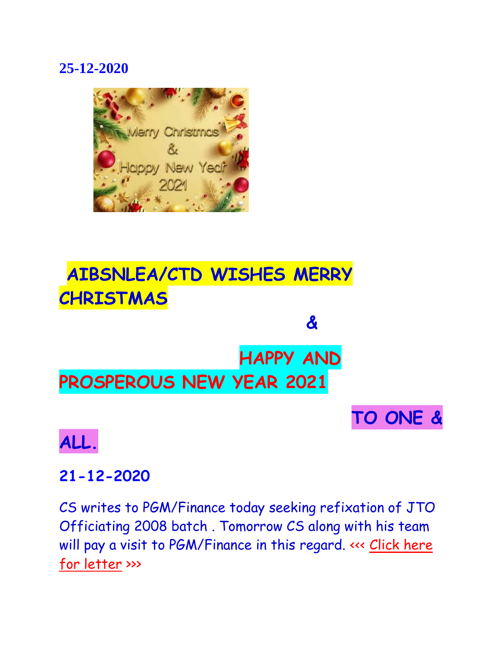### **25-12-2020**



# **AIBSNLEA/CTD WISHES MERRY CHRISTMAS**

# **HAPPY AND PROSPEROUS NEW YEAR 2021**

**&**

# **TO ONE &**

## **ALL.**

### **21-12-2020**

CS writes to PGM/Finance today seeking refixation of JTO Officiating 2008 batch . Tomorrow CS along with his team will pay a visit to PGM/Finance in this regard. <<< Click here [for letter](http://aibsnleawb.org/J.T.O_211220.pdf) >>>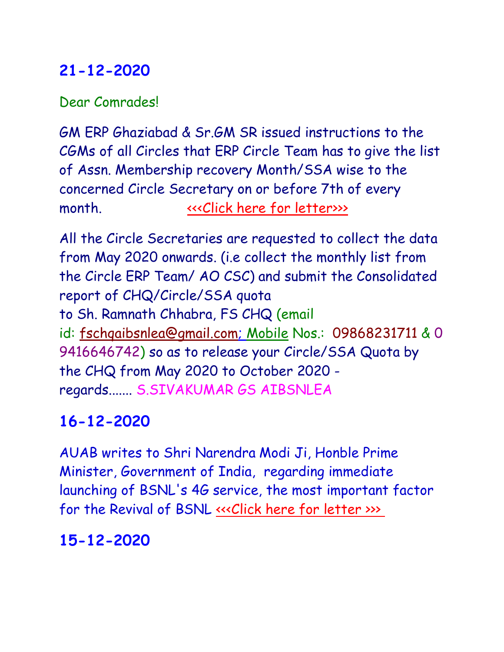### **21-12-2020**

Dear Comrades!

GM ERP Ghaziabad & Sr.GM SR issued instructions to the CGMs of all Circles that ERP Circle Team has to give the list of Assn. Membership recovery Month/SSA wise to the concerned Circle Secretary on or before 7th of every month.  $\qquad \qquad \qquad \text{``click here for letters)}$ 

All the Circle Secretaries are requested to collect the data from May 2020 onwards. (i.e collect the monthly list from the Circle ERP Team/ AO CSC) and submit the Consolidated report of CHQ/Circle/SSA quota to Sh. Ramnath Chhabra, FS CHQ (email id: [fschqaibsnlea@gmail.com;](mailto:fschqaibsnlea@gmail.com......Mobile) Mobile Nos.: 09868231711 & 0 9416646742) so as to release your Circle/SSA Quota by the CHQ from May 2020 to October 2020 regards....... S.SIVAKUMAR GS AIBSNLEA

### **16-12-2020**

AUAB writes to Shri Narendra Modi Ji, Honble Prime Minister, Government of India, regarding immediate launching of BSNL's 4G service, the most important factor for the Revival of BSNL «<< Click here for letter [>](http://aibsnleachq.in/suggestions%20for%20the%20AUAB%20for%20immediate%20launching%20of%20BSNL)>>

### **15-12-2020**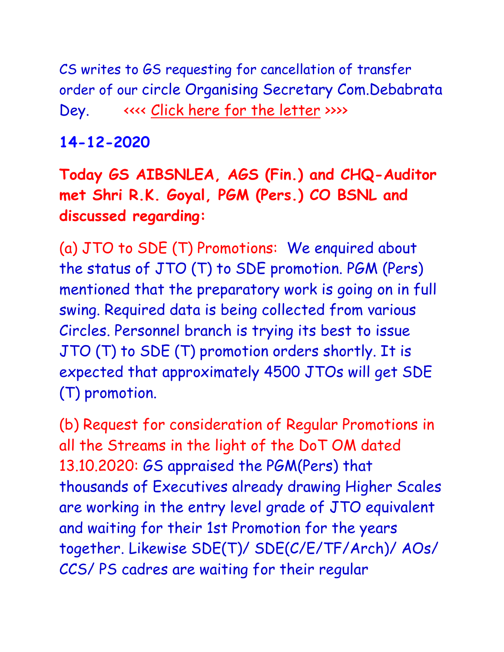CS writes to GS requesting for cancellation of transfer order of our circle Organising Secretary Com.Debabrata Dey. <<<< [Click here for the letter](http://aibsnleawb.org/GS_151220.pdf) >>>>

### **14-12-2020**

**Today GS AIBSNLEA, AGS (Fin.) and CHQ-Auditor met Shri R.K. Goyal, PGM (Pers.) CO BSNL and discussed regarding:**

(a) JTO to SDE (T) Promotions: We enquired about the status of JTO (T) to SDE promotion. PGM (Pers) mentioned that the preparatory work is going on in full swing. Required data is being collected from various Circles. Personnel branch is trying its best to issue JTO (T) to SDE (T) promotion orders shortly. It is expected that approximately 4500 JTOs will get SDE (T) promotion.

(b) Request for consideration of Regular Promotions in all the Streams in the light of the DoT OM dated 13.10.2020: GS appraised the PGM(Pers) that thousands of Executives already drawing Higher Scales are working in the entry level grade of JTO equivalent and waiting for their 1st Promotion for the years together. Likewise SDE(T)/ SDE(C/E/TF/Arch)/ AOs/ CCS/ PS cadres are waiting for their regular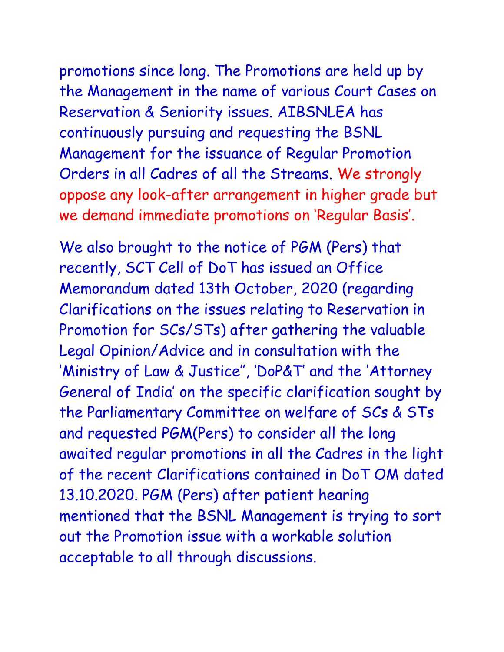promotions since long. The Promotions are held up by the Management in the name of various Court Cases on Reservation & Seniority issues. AIBSNLEA has continuously pursuing and requesting the BSNL Management for the issuance of Regular Promotion Orders in all Cadres of all the Streams. We strongly

oppose any look-after arrangement in higher grade but we demand immediate promotions on 'Regular Basis'.

We also brought to the notice of PGM (Pers) that recently, SCT Cell of DoT has issued an Office Memorandum dated 13th October, 2020 (regarding Clarifications on the issues relating to Reservation in Promotion for SCs/STs) after gathering the valuable Legal Opinion/Advice and in consultation with the 'Ministry of Law & Justice'', 'DoP&T' and the 'Attorney General of India' on the specific clarification sought by the Parliamentary Committee on welfare of SCs & STs and requested PGM(Pers) to consider all the long awaited regular promotions in all the Cadres in the light of the recent Clarifications contained in DoT OM dated 13.10.2020. PGM (Pers) after patient hearing mentioned that the BSNL Management is trying to sort out the Promotion issue with a workable solution acceptable to all through discussions.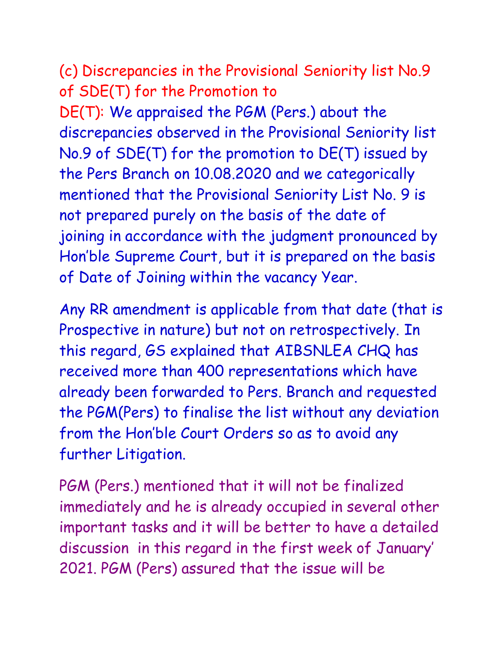(c) Discrepancies in the Provisional Seniority list No.9 of SDE(T) for the Promotion to

DE(T): We appraised the PGM (Pers.) about the discrepancies observed in the Provisional Seniority list No.9 of SDE(T) for the promotion to DE(T) issued by the Pers Branch on 10.08.2020 and we categorically mentioned that the Provisional Seniority List No. 9 is not prepared purely on the basis of the date of joining in accordance with the judgment pronounced by Hon'ble Supreme Court, but it is prepared on the basis of Date of Joining within the vacancy Year.

Any RR amendment is applicable from that date (that is Prospective in nature) but not on retrospectively. In this regard, GS explained that AIBSNLEA CHQ has received more than 400 representations which have already been forwarded to Pers. Branch and requested the PGM(Pers) to finalise the list without any deviation from the Hon'ble Court Orders so as to avoid any further Litigation.

PGM (Pers.) mentioned that it will not be finalized immediately and he is already occupied in several other important tasks and it will be better to have a detailed discussion in this regard in the first week of January' 2021. PGM (Pers) assured that the issue will be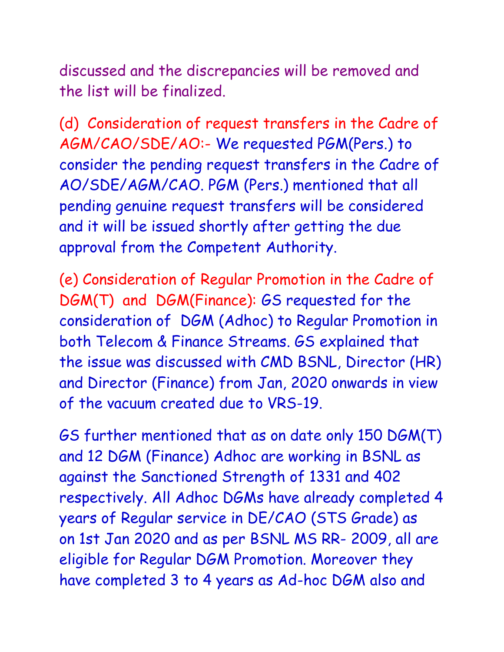discussed and the discrepancies will be removed and the list will be finalized.

(d) Consideration of request transfers in the Cadre of AGM/CAO/SDE/AO:- We requested PGM(Pers.) to consider the pending request transfers in the Cadre of AO/SDE/AGM/CAO. PGM (Pers.) mentioned that all pending genuine request transfers will be considered and it will be issued shortly after getting the due approval from the Competent Authority.

(e) Consideration of Regular Promotion in the Cadre of DGM(T) and DGM(Finance): GS requested for the consideration of DGM (Adhoc) to Regular Promotion in both Telecom & Finance Streams. GS explained that the issue was discussed with CMD BSNL, Director (HR) and Director (Finance) from Jan, 2020 onwards in view of the vacuum created due to VRS-19.

GS further mentioned that as on date only 150 DGM(T) and 12 DGM (Finance) Adhoc are working in BSNL as against the Sanctioned Strength of 1331 and 402 respectively. All Adhoc DGMs have already completed 4 years of Regular service in DE/CAO (STS Grade) as on 1st Jan 2020 and as per BSNL MS RR- 2009, all are eligible for Regular DGM Promotion. Moreover they have completed 3 to 4 years as Ad-hoc DGM also and